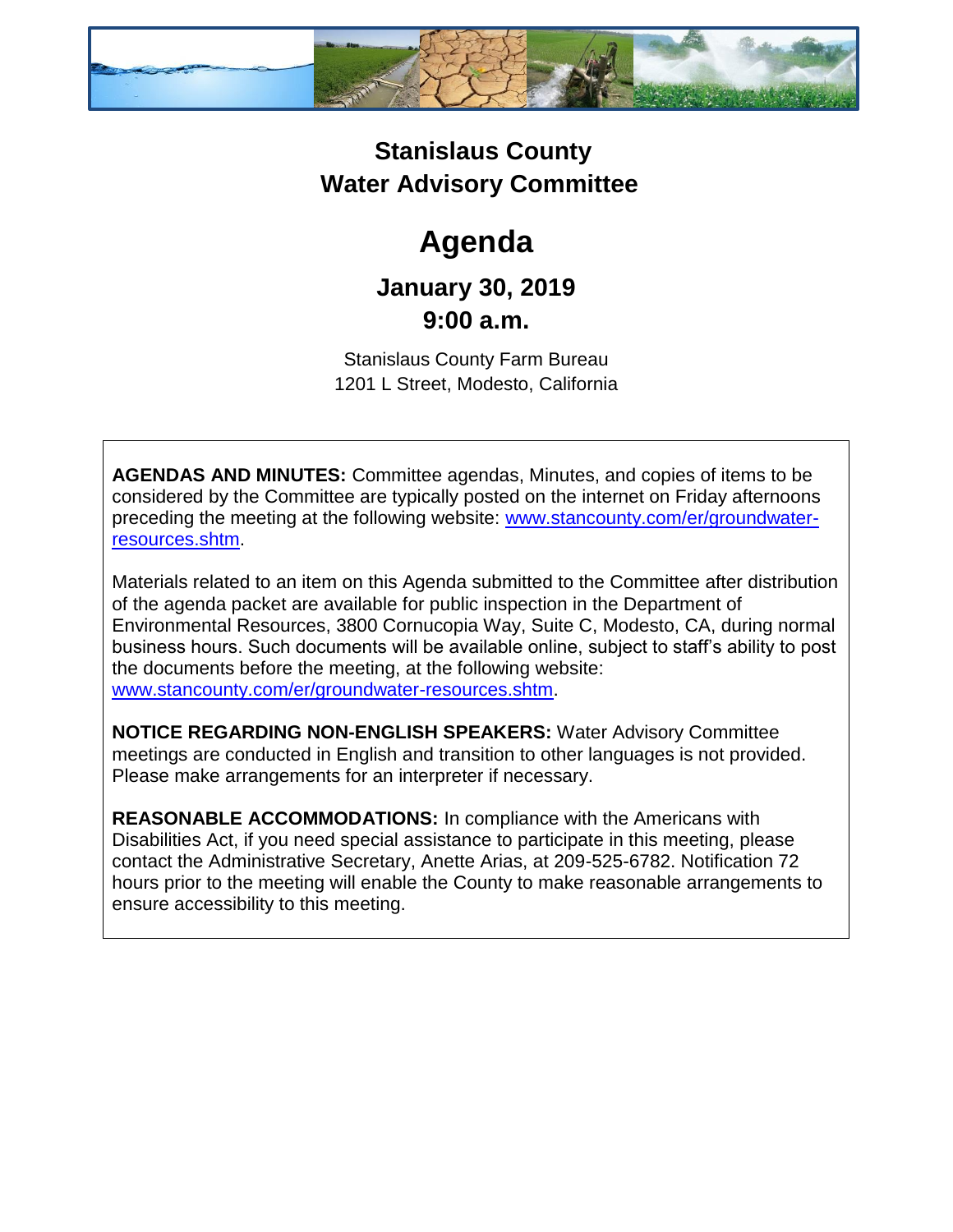

### **Stanislaus County Water Advisory Committee**

# **Agenda**

## **January 30, 2019 9:00 a.m.**

Stanislaus County Farm Bureau 1201 L Street, Modesto, California

**AGENDAS AND MINUTES:** Committee agendas, Minutes, and copies of items to be considered by the Committee are typically posted on the internet on Friday afternoons preceding the meeting at the following website: [www.stancounty.com/er/groundwater](http://www.stancounty.com/er/groundwater-resources.shtm)[resources.shtm.](http://www.stancounty.com/er/groundwater-resources.shtm)

Materials related to an item on this Agenda submitted to the Committee after distribution of the agenda packet are available for public inspection in the Department of Environmental Resources, 3800 Cornucopia Way, Suite C, Modesto, CA, during normal business hours. Such documents will be available online, subject to staff's ability to post the documents before the meeting, at the following website: [www.stancounty.com/er/groundwater-resources.shtm.](http://www.stancounty.com/er/groundwater-resources.shtm)

**NOTICE REGARDING NON-ENGLISH SPEAKERS:** Water Advisory Committee meetings are conducted in English and transition to other languages is not provided. Please make arrangements for an interpreter if necessary.

**REASONABLE ACCOMMODATIONS:** In compliance with the Americans with Disabilities Act, if you need special assistance to participate in this meeting, please contact the Administrative Secretary, Anette Arias, at 209-525-6782. Notification 72 hours prior to the meeting will enable the County to make reasonable arrangements to ensure accessibility to this meeting.